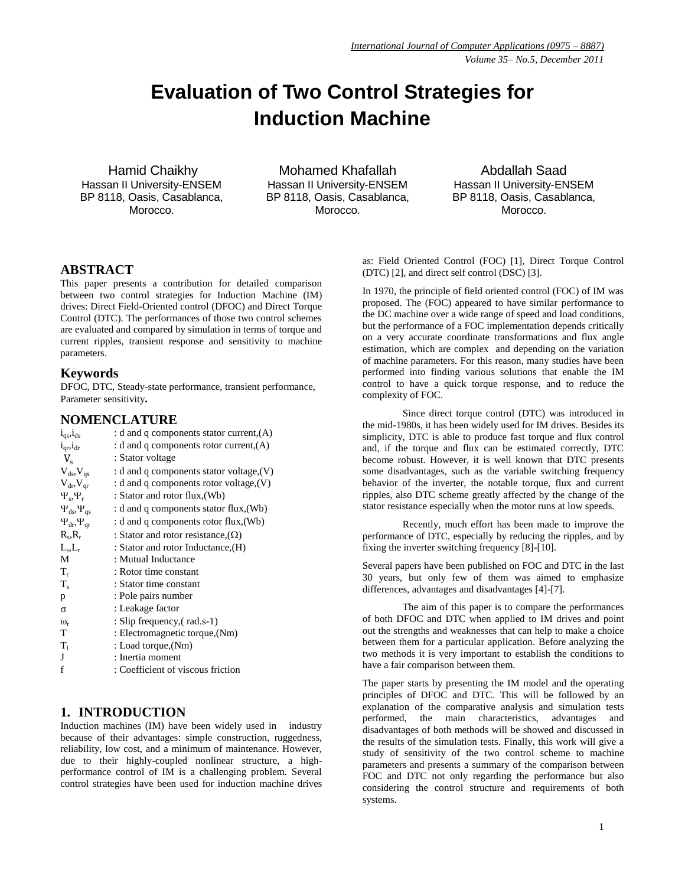# **Evaluation of Two Control Strategies for Induction Machine**

Hamid Chaikhy Hassan II University-ENSEM BP 8118, Oasis, Casablanca, Morocco.

Mohamed Khafallah Hassan II University-ENSEM BP 8118, Oasis, Casablanca, Morocco.

Abdallah Saad Hassan II University-ENSEM BP 8118, Oasis, Casablanca, Morocco.

## **ABSTRACT**

This paper presents a contribution for detailed comparison between two control strategies for Induction Machine (IM) drives: Direct Field-Oriented control (DFOC) and Direct Torque Control (DTC). The performances of those two control schemes are evaluated and compared by simulation in terms of torque and current ripples, transient response and sensitivity to machine parameters.

#### **Keywords**

DFOC, DTC, Steady-state performance, transient performance, Parameter sensitivity**.**

# **NOMENCLATURE**

| $1_{\text{qs}}$ , $1_{\text{ds}}$ | : d and q components stator current, $(A)$ |
|-----------------------------------|--------------------------------------------|
| $i_{\text{ar}}$ , $i_{\text{dr}}$ | : d and q components rotor current, $(A)$  |
| $V_{s}$                           | : Stator voltage                           |
| $V_{ds}$ , $V_{qs}$               | : d and q components stator voltage, $(V)$ |
| $V_{dr}$ , $V_{ar}$               | : d and q components rotor voltage, $(V)$  |
| $\Psi_s, \Psi_r$                  | : Stator and rotor flux, (Wb)              |
| $\Psi_{ds}, \Psi_{qs}$            | : d and q components stator flux, (Wb)     |
| $\Psi_{dr}$ , $\Psi_{qr}$         | : d and q components rotor flux, (Wb)      |
| $R_s, R_r$                        | : Stator and rotor resistance, $(\Omega)$  |
| $L_s, L_r$                        | : Stator and rotor Inductance, (H)         |
| M                                 | : Mutual Inductance                        |
| $T_r$                             | : Rotor time constant                      |
| $T_{s}$                           | : Stator time constant                     |
| p                                 | : Pole pairs number                        |
| σ                                 | : Leakage factor                           |
| $\omega_{r}$                      | : Slip frequency, (rad.s-1)                |
| T                                 | : Electromagnetic torque, (Nm)             |
| $T_1$                             | : Load torque, (Nm)                        |
| J                                 | : Inertia moment                           |
| f                                 | : Coefficient of viscous friction          |
|                                   |                                            |

# **1. INTRODUCTION**

Induction machines (IM) have been widely used in industry because of their advantages: simple construction, ruggedness, reliability, low cost, and a minimum of maintenance. However, due to their highly-coupled nonlinear structure, a highperformance control of IM is a challenging problem. Several control strategies have been used for induction machine drives as: Field Oriented Control (FOC) [1], Direct Torque Control (DTC) [2], and direct self control (DSC) [3].

In 1970, the principle of field oriented control (FOC) of IM was proposed. The (FOC) appeared to have similar performance to the DC machine over a wide range of speed and load conditions, but the performance of a FOC implementation depends critically on a very accurate coordinate transformations and flux angle estimation, which are complex and depending on the variation of machine parameters. For this reason, many studies have been performed into finding various solutions that enable the IM control to have a quick torque response, and to reduce the complexity of FOC.

Since direct torque control (DTC) was introduced in the mid-1980s, it has been widely used for IM drives. Besides its simplicity, DTC is able to produce fast torque and flux control and, if the torque and flux can be estimated correctly, DTC become robust. However, it is well known that DTC presents some disadvantages, such as the variable switching frequency behavior of the inverter, the notable torque, flux and current ripples, also DTC scheme greatly affected by the change of the stator resistance especially when the motor runs at low speeds.

Recently, much effort has been made to improve the performance of DTC, especially by reducing the ripples, and by fixing the inverter switching frequency [8]-[10].

Several papers have been published on FOC and DTC in the last 30 years, but only few of them was aimed to emphasize differences, advantages and disadvantages [4]-[7].

The aim of this paper is to compare the performances of both DFOC and DTC when applied to IM drives and point out the strengths and weaknesses that can help to make a choice between them for a particular application. Before analyzing the two methods it is very important to establish the conditions to have a fair comparison between them.

The paper starts by presenting the IM model and the operating principles of DFOC and DTC. This will be followed by an explanation of the comparative analysis and simulation tests performed, the main characteristics, advantages and disadvantages of both methods will be showed and discussed in the results of the simulation tests. Finally, this work will give a study of sensitivity of the two control scheme to machine parameters and presents a summary of the comparison between FOC and DTC not only regarding the performance but also considering the control structure and requirements of both systems.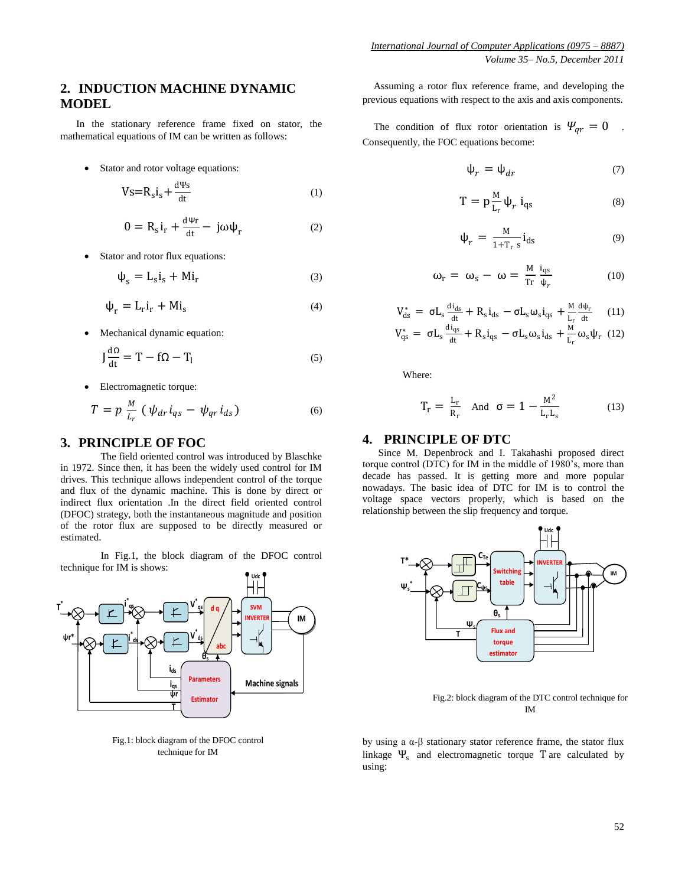# **2. INDUCTION MACHINE DYNAMIC MODEL**

In the stationary reference frame fixed on stator, the mathematical equations of IM can be written as follows:

• Stator and rotor voltage equations:

$$
Vs = R_s i_s + \frac{d\Psi s}{dt} \tag{1}
$$

$$
0 = R_s i_r + \frac{d\Psi r}{dt} - j\omega \psi_r
$$
 (2)

• Stator and rotor flux equations:

$$
\Psi_{\rm s} = \mathcal{L}_{\rm s} \mathbf{i}_{\rm s} + \mathcal{M} \mathbf{i}_{\rm r} \tag{3}
$$

$$
\Psi_{\rm r} = L_{\rm r} i_{\rm r} + M i_{\rm s} \tag{4}
$$

Mechanical dynamic equation:

$$
J\frac{d\Omega}{dt} = T - f\Omega - T_1
$$
 (5)

Electromagnetic torque:

$$
T = p \frac{M}{l_r} \left( \psi_{dr} i_{qs} - \psi_{qr} i_{ds} \right) \tag{6}
$$

## **3. PRINCIPLE OF FOC**

The field oriented control was introduced by Blaschke in 1972. Since then, it has been the widely used control for IM drives. This technique allows independent control of the torque and flux of the dynamic machine. This is done by direct or indirect flux orientation .In the direct field oriented control (DFOC) strategy, both the instantaneous magnitude and position of the rotor flux are supposed to be directly measured or estimated.

In Fig.1, the block diagram of the DFOC control technique for IM is shows:



Fig.1: block diagram of the DFOC control technique for IM

Assuming a rotor flux reference frame, and developing the previous equations with respect to the axis and axis components.

The condition of flux rotor orientation is  $\Psi_{ar} = 0$ . Consequently, the FOC equations become:

$$
\Psi_r = \Psi_{dr} \tag{7}
$$

$$
T = p \frac{M}{L_r} \psi_r i_{qs} \tag{8}
$$

$$
\Psi_r = \frac{M}{1 + T_r s} i_{ds} \tag{9}
$$

$$
\omega_{\rm r} = \omega_{\rm s} - \omega = \frac{M}{\text{Tr}} \frac{i_{\rm qs}}{\psi_r} \tag{10}
$$

$$
V_{ds}^{*} = \sigma L_s \frac{di_{ds}}{dt} + R_s i_{ds} - \sigma L_s \omega_s i_{qs} + \frac{M}{L_r} \frac{d\psi_r}{dt} \quad (11)
$$
  

$$
V_{qs}^{*} = \sigma L_s \frac{di_{qs}}{dt} + R_s i_{qs} - \sigma L_s \omega_s i_{ds} + \frac{M}{L_r} \omega_s \psi_r \quad (12)
$$

Where:

$$
T_r = \frac{L_r}{R_r} \quad \text{And} \quad \sigma = 1 - \frac{M^2}{L_r L_s} \tag{13}
$$

## **4. PRINCIPLE OF DTC**

Since M. Depenbrock and I. Takahashi proposed direct torque control (DTC) for IM in the middle of 1980"s, more than decade has passed. It is getting more and more popular nowadays. The basic idea of DTC for IM is to control the voltage space vectors properly, which is based on the relationship between the slip frequency and torque.



Fig.2: block diagram of the DTC control technique for IM

by using a  $\alpha$ - $\beta$  stationary stator reference frame, the stator flux linkage  $\Psi_s$  and electromagnetic torque T are calculated by using: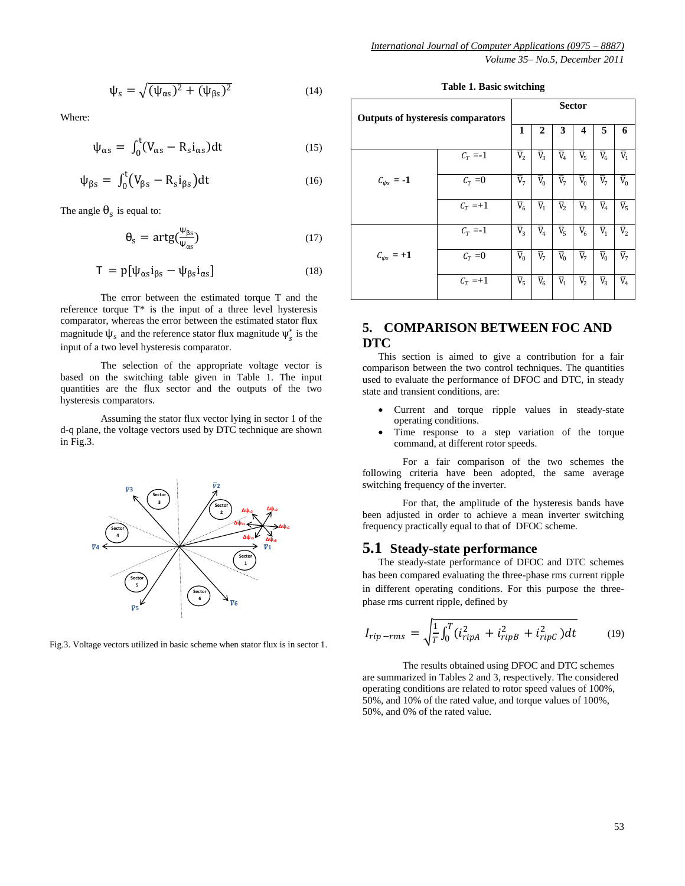$$
\psi_s = \sqrt{(\psi_{\alpha s})^2 + (\psi_{\beta s})^2} \tag{14}
$$

Where:

$$
\psi_{\alpha s} = \int_0^t (V_{\alpha s} - R_s i_{\alpha s}) dt \tag{15}
$$

$$
\psi_{\beta s} = \int_0^t (V_{\beta s} - R_s i_{\beta s}) dt \tag{16}
$$

The angle  $\theta_s$  is equal to:

$$
\theta_{\rm s} = \text{artg}(\frac{\Psi_{\rm \beta s}}{\Psi_{\rm \alpha s}})
$$
 (17)

$$
T = p[\psi_{\alpha s} i_{\beta s} - \psi_{\beta s} i_{\alpha s}]
$$
\n(18)

The error between the estimated torque T and the reference torque  $T^*$  is the input of a three level hysteresis comparator, whereas the error between the estimated stator flux magnitude  $\psi_s$  and the reference stator flux magnitude  $\psi_s^*$  is the input of a two level hysteresis comparator.

The selection of the appropriate voltage vector is based on the switching table given in Table 1. The input quantities are the flux sector and the outputs of the two hysteresis comparators.

Assuming the stator flux vector lying in sector 1 of the d-q plane, the voltage vectors used by DTC technique are shown in Fig.3.



Fig.3. Voltage vectors utilized in basic scheme when stator flux is in sector 1.

**Table 1. Basic switching**

| <b>Outputs of hysteresis comparators</b> |            | <b>Sector</b>           |                         |                         |                         |                         |                           |
|------------------------------------------|------------|-------------------------|-------------------------|-------------------------|-------------------------|-------------------------|---------------------------|
|                                          |            | 1                       | 2                       | 3                       | 4                       | 5                       | 6                         |
|                                          | $C_T = -1$ | $\overline{V}_2$        | $\overline{V}_3$        | $\overline{\text{V}}_4$ | $\overline{V}_5$        | $\overline{V}_6$        | $\overline{\text{V}}_1$   |
| $C_{\psi s} = -1$                        | $C_T = 0$  | $\overline{V}_7$        | $\overline{\text{V}}_0$ | $\overline{V}_7$        | $\overline{\text{V}}_0$ | $\overline{\text{V}}_7$ | $\overline{\mathtt{V}}_0$ |
|                                          | $C_T = +1$ | $\overline{V}_6$        | $\overline{V}_1$        | $\overline{V}_2$        | $\overline{V}_3$        | $\overline{V}_4$        | $\overline{V}_5$          |
|                                          | $C_T = -1$ | $\overline{V}_3$        | $\overline{V}_4$        | $\overline{V}_5$        | $\overline{V}_6$        | $\overline{V}_1$        | $\overline{V}_2$          |
| $C_{\psi s}$ = +1                        | $C_T = 0$  | $\overline{\text{V}}_0$ | $\overline{V}_7$        | $\overline{V}_0$        | $\overline{\text{V}}_7$ | $\overline{V}_0$        | $\overline{\text{V}}_7$   |
|                                          | $C_T = +1$ | $\overline{\text{V}}_5$ | $\bar{\rm V}_6$         | $\overline{\text{V}}_1$ | $\overline{\text{V}}_2$ | $\overline{V}_3$        | $\overline{\text{V}}_4$   |

# **5. COMPARISON BETWEEN FOC AND DTC**

This section is aimed to give a contribution for a fair comparison between the two control techniques. The quantities used to evaluate the performance of DFOC and DTC, in steady state and transient conditions, are:

- Current and torque ripple values in steady-state operating conditions.
- Time response to a step variation of the torque command, at different rotor speeds.

For a fair comparison of the two schemes the following criteria have been adopted, the same average switching frequency of the inverter.

For that, the amplitude of the hysteresis bands have been adjusted in order to achieve a mean inverter switching frequency practically equal to that of DFOC scheme.

#### **5.1 Steady-state performance**

The steady-state performance of DFOC and DTC schemes has been compared evaluating the three-phase rms current ripple in different operating conditions. For this purpose the threephase rms current ripple, defined by

$$
I_{rip-rms} = \sqrt{\frac{1}{T} \int_0^T (i_{ripA}^2 + i_{ripB}^2 + i_{ripC}^2) dt}
$$
 (19)

The results obtained using DFOC and DTC schemes are summarized in Tables 2 and 3, respectively. The considered operating conditions are related to rotor speed values of 100%, 50%, and 10% of the rated value, and torque values of 100%, 50%, and 0% of the rated value.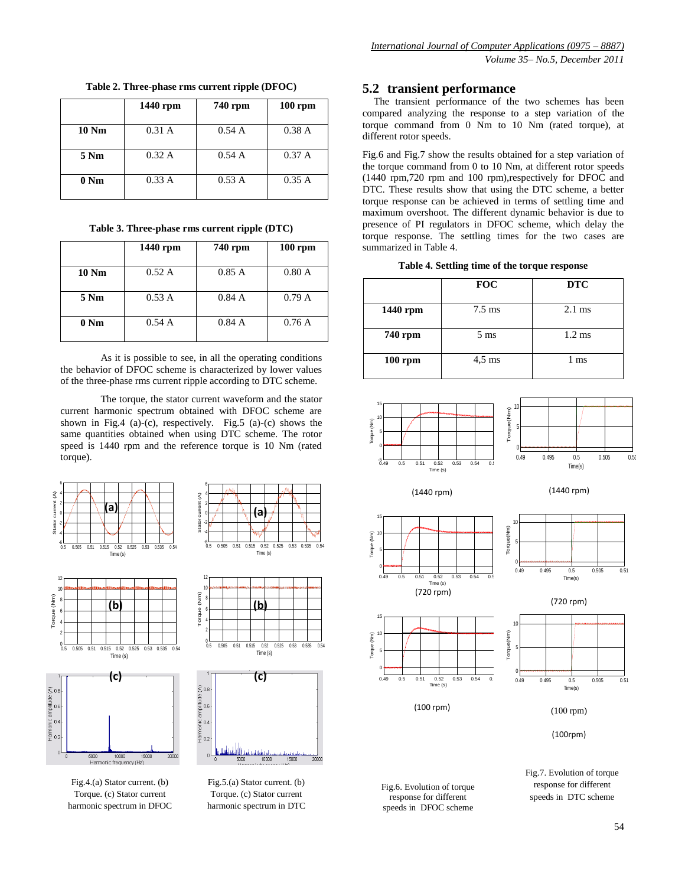|              | 1440 rpm | 740 rpm | $100$ rpm |
|--------------|----------|---------|-----------|
| <b>10 Nm</b> | 0.31 A   | 0.54A   | 0.38A     |
| 5 Nm         | 0.32 A   | 0.54A   | 0.37 A    |
| 0 Nm         | 0.33 A   | 0.53A   | 0.35A     |

**Table 2. Three-phase rms current ripple (DFOC)**

**Table 3. Three-phase rms current ripple (DTC)**

|                | 1440 rpm | 740 rpm | $100$ rpm |
|----------------|----------|---------|-----------|
| <b>10 Nm</b>   | 0.52A    | 0.85A   | 0.80A     |
| 5 Nm           | 0.53A    | 0.84A   | 0.79A     |
| $0 \text{ Nm}$ | 0.54A    | 0.84A   | 0.76A     |

As it is possible to see, in all the operating conditions the behavior of DFOC scheme is characterized by lower values of the three-phase rms current ripple according to DTC scheme.

The torque, the stator current waveform and the stator current harmonic spectrum obtained with DFOC scheme are shown in Fig.4 (a)-(c), respectively. Fig.5 (a)-(c) shows the same quantities obtained when using DTC scheme. The rotor speed is 1440 rpm and the reference torque is 10 Nm (rated torque).

Torque (Nm)







۷Γ  $^{0.5}_{0.5}$ 0.5 0.505 0.51 0.515 0.52 0.525 0.53 0.535 0.54 Time (s) **(c)**  $\widehat{\leq}$  0.8 

**(b)**

는<br>무 0.2

Fig.4.(a) Stator current. (b) Torque. (c) Stator current harmonic spectrum in DFOC

Fig.5.(a) Stator current. (b) Torque. (c) Stator current harmonic spectrum in DTC

## **5.2 transient performance**

The transient performance of the two schemes has been compared analyzing the response to a step variation of the torque command from 0 Nm to 10 Nm (rated torque), at different rotor speeds.

Fig.6 and Fig.7 show the results obtained for a step variation of the torque command from 0 to 10 Nm, at different rotor speeds (1440 rpm,720 rpm and 100 rpm),respectively for DFOC and DTC. These results show that using the DTC scheme, a better torque response can be achieved in terms of settling time and maximum overshoot. The different dynamic behavior is due to presence of PI regulators in DFOC scheme, which delay the torque response. The settling times for the two cases are summarized in Table 4.

**Table 4. Settling time of the torque response**

|           | <b>FOC</b>       | <b>DTC</b>       |
|-----------|------------------|------------------|
| 1440 rpm  | $7.5 \text{ ms}$ | $2.1 \text{ ms}$ |
| 740 rpm   | $5 \text{ ms}$   | $1.2 \text{ ms}$ |
| $100$ rpm | $4,5$ ms         | 1 ms             |



Fig.6. Evolution of torque response for different speeds in DFOC scheme

speeds in DTC scheme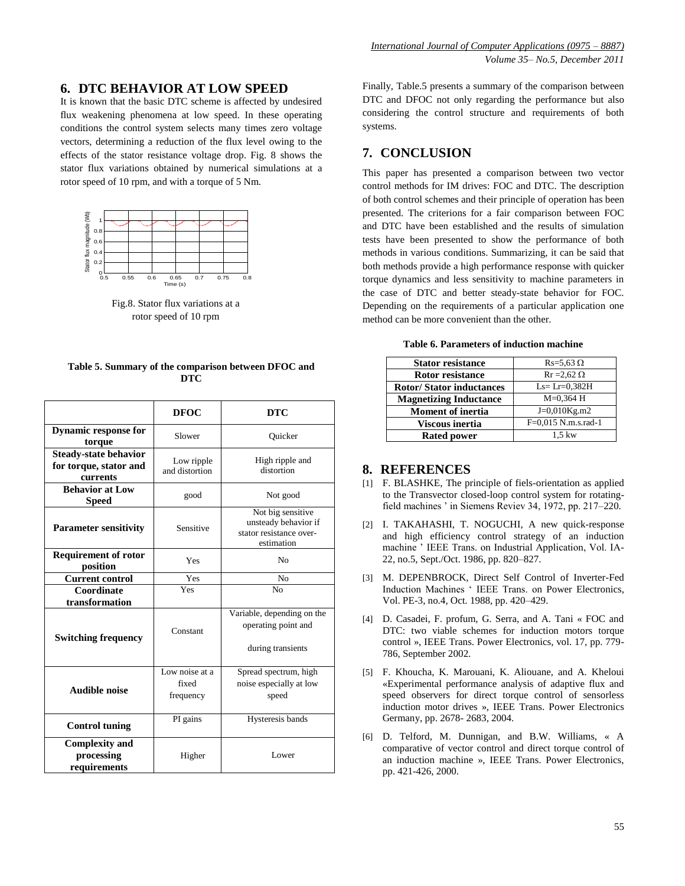### **6. DTC BEHAVIOR AT LOW SPEED**

It is known that the basic DTC scheme is affected by undesired flux weakening phenomena at low speed. In these operating conditions the control system selects many times zero voltage vectors, determining a reduction of the flux level owing to the effects of the stator resistance voltage drop. Fig. 8 shows the stator flux variations obtained by numerical simulations at a rotor speed of 10 rpm, and with a torque of 5 Nm.



Fig.8. Stator flux variations at a rotor speed of 10 rpm

**Table 5. Summary of the comparison between DFOC and DTC**

|                                                                    | <b>DFOC</b>                          | <b>DTC</b>                                                                         |  |
|--------------------------------------------------------------------|--------------------------------------|------------------------------------------------------------------------------------|--|
| <b>Dynamic response for</b><br>torque                              | Slower                               | Ouicker                                                                            |  |
| <b>Steady-state behavior</b><br>for torque, stator and<br>currents | Low ripple<br>and distortion         | High ripple and<br>distortion                                                      |  |
| <b>Behavior at Low</b><br><b>Speed</b>                             | good                                 | Not good                                                                           |  |
| <b>Parameter sensitivity</b>                                       | Sensitive                            | Not big sensitive<br>unsteady behavior if<br>stator resistance over-<br>estimation |  |
| <b>Requirement of rotor</b><br>position                            | Yes<br>N <sub>0</sub>                |                                                                                    |  |
| <b>Current control</b>                                             | Yes                                  | N <sub>0</sub>                                                                     |  |
| Coordinate<br>transformation                                       | Yes                                  | N <sub>0</sub>                                                                     |  |
| <b>Switching frequency</b>                                         | Constant                             | Variable, depending on the<br>operating point and<br>during transients             |  |
| <b>Audible noise</b>                                               | Low noise at a<br>fixed<br>frequency | Spread spectrum, high<br>noise especially at low<br>speed                          |  |
| <b>Control tuning</b>                                              | PI gains                             | Hysteresis bands                                                                   |  |
| <b>Complexity and</b><br>processing<br>requirements                | Higher                               | Lower                                                                              |  |

Finally, Table.5 presents a summary of the comparison between DTC and DFOC not only regarding the performance but also considering the control structure and requirements of both systems.

# **7. CONCLUSION**

This paper has presented a comparison between two vector control methods for IM drives: FOC and DTC. The description of both control schemes and their principle of operation has been presented. The criterions for a fair comparison between FOC and DTC have been established and the results of simulation tests have been presented to show the performance of both methods in various conditions. Summarizing, it can be said that both methods provide a high performance response with quicker torque dynamics and less sensitivity to machine parameters in the case of DTC and better steady-state behavior for FOC. Depending on the requirements of a particular application one method can be more convenient than the other.

**Table 6. Parameters of induction machine**

| <b>Stator resistance</b>        | $Rs = 5.63 \Omega$        |
|---------------------------------|---------------------------|
| <b>Rotor resistance</b>         | $\text{Rr} = 2.62 \Omega$ |
| <b>Rotor/Stator inductances</b> | $Ls = Lr = 0.382H$        |
| <b>Magnetizing Inductance</b>   | $M=0,364$ H               |
| <b>Moment of inertia</b>        | $J=0.010$ Kg.m2           |
| Viscous inertia                 | F=0,015 N.m.s.rad-1       |
| <b>Rated power</b>              | $1.5 \text{ kW}$          |

#### **8. REFERENCES**

- [1] F. BLASHKE, The principle of fiels-orientation as applied to the Transvector closed-loop control system for rotatingfield machines ' in Siemens Reviev 34, 1972, pp. 217–220.
- [2] I. TAKAHASHI, T. NOGUCHI, A new quick-response and high efficiency control strategy of an induction machine " IEEE Trans. on Industrial Application, Vol. IA-22, no.5, Sept./Oct. 1986, pp. 820–827.
- [3] M. DEPENBROCK, Direct Self Control of Inverter-Fed Induction Machines " IEEE Trans. on Power Electronics, Vol. PE-3, no.4, Oct. 1988, pp. 420–429.
- [4] D. Casadei, F. profum, G. Serra, and A. Tani « FOC and DTC: two viable schemes for induction motors torque control », IEEE Trans. Power Electronics, vol. 17, pp. 779- 786, September 2002.
- [5] F. Khoucha, K. Marouani, K. Aliouane, and A. Kheloui «Experimental performance analysis of adaptive flux and speed observers for direct torque control of sensorless induction motor drives », IEEE Trans. Power Electronics Germany, pp. 2678- 2683, 2004.
- [6] D. Telford, M. Dunnigan, and B.W. Williams, « A comparative of vector control and direct torque control of an induction machine », IEEE Trans. Power Electronics, pp. 421-426, 2000.